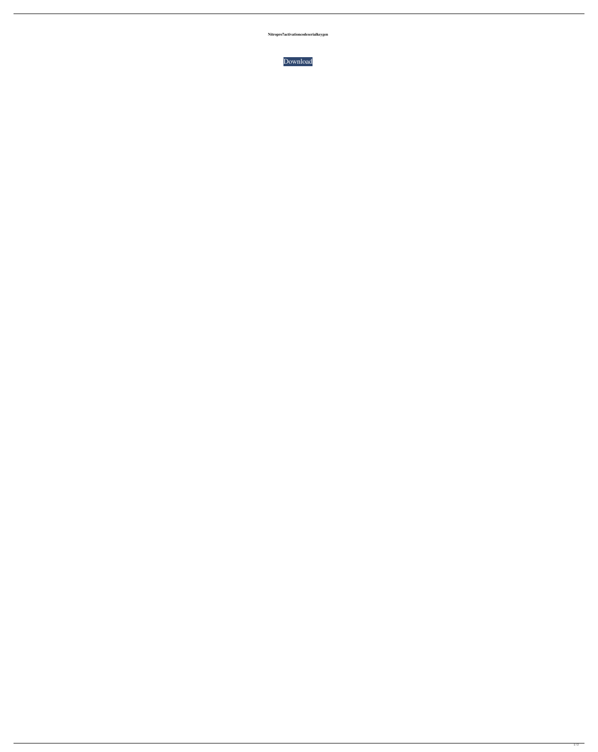Nitropro7activationcodeserialkeygen